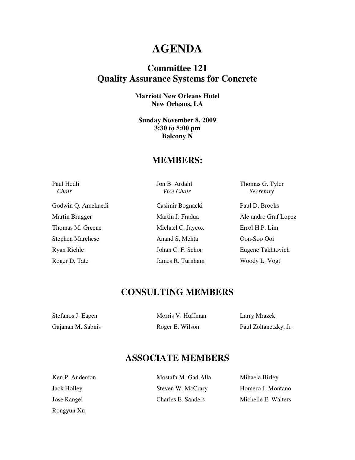## **AGENDA**

### **Committee 121 Quality Assurance Systems for Concrete**

**Marriott New Orleans Hotel New Orleans, LA** 

**Sunday November 8, 2009 3:30 to 5:00 pm Balcony N** 

#### **MEMBERS:**

| Paul Hedli<br>Chair     | Jon B. Ardahl<br>Vice Chair | Thomas G. Tyler<br>Secretary |
|-------------------------|-----------------------------|------------------------------|
| Godwin Q. Amekuedi      | Casimir Bognacki            | Paul D. Brooks               |
| Martin Brugger          | Martin J. Fradua            | Alejandro Graf Lopez         |
| Thomas M. Greene        | Michael C. Jaycox           | Errol H.P. Lim               |
| <b>Stephen Marchese</b> | Anand S. Mehta              | Oon-Soo Ooi                  |
| Ryan Riehle             | Johan C. F. Schor           | Eugene Takhtovich            |
| Roger D. Tate           | James R. Turnham            | Woody L. Vogt                |

#### **CONSULTING MEMBERS**

| Stefanos J. Eapen | Morris V. Huffman | Larry Mrazek          |
|-------------------|-------------------|-----------------------|
| Gajanan M. Sabnis | Roger E. Wilson   | Paul Zoltanetzky, Jr. |

## **ASSOCIATE MEMBERS**

| Ken P. Anderson    | Mostafa M. Gad Alla | Mihaela Birley      |
|--------------------|---------------------|---------------------|
| <b>Jack Holley</b> | Steven W. McCrary   | Homero J. Montano   |
| Jose Rangel        | Charles E. Sanders  | Michelle E. Walters |

Rongyun Xu